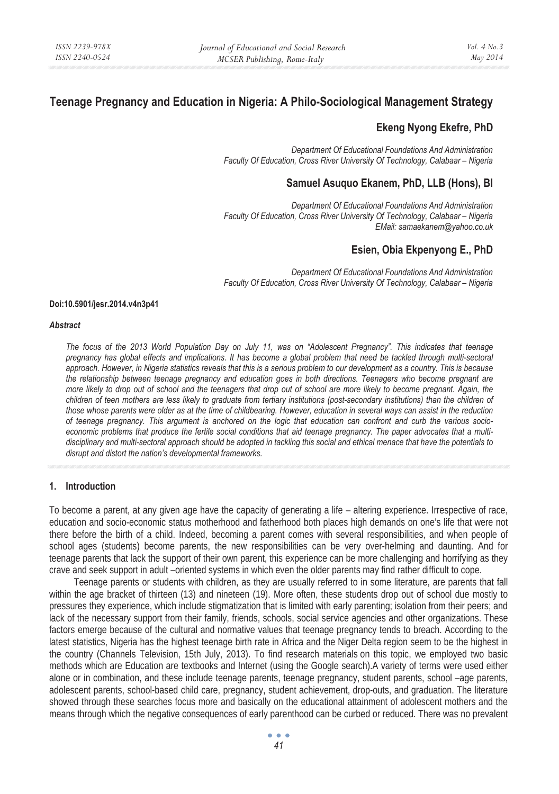# **Teenage Pregnancy and Education in Nigeria: A Philo-Sociological Management Strategy**

# **Ekeng Nyong Ekefre, PhD**

*Department Of Educational Foundations And Administration Faculty Of Education, Cross River University Of Technology, Calabaar – Nigeria* 

## **Samuel Asuquo Ekanem, PhD, LLB (Hons), Bl**

*Department Of Educational Foundations And Administration Faculty Of Education, Cross River University Of Technology, Calabaar – Nigeria EMail: samaekanem@yahoo.co.uk* 

# **Esien, Obia Ekpenyong E., PhD**

*Department Of Educational Foundations And Administration Faculty Of Education, Cross River University Of Technology, Calabaar – Nigeria* 

#### **Doi:10.5901/jesr.2014.v4n3p41**

#### *Abstract*

*The focus of the 2013 World Population Day on July 11, was on "Adolescent Pregnancy". This indicates that teenage pregnancy has global effects and implications. It has become a global problem that need be tackled through multi-sectoral approach. However, in Nigeria statistics reveals that this is a serious problem to our development as a country. This is because the relationship between teenage pregnancy and education goes in both directions. Teenagers who become pregnant are more likely to drop out of school and the teenagers that drop out of school are more likely to become pregnant. Again, the children of teen mothers are less likely to graduate from tertiary institutions (post-secondary institutions) than the children of those whose parents were older as at the time of childbearing. However, education in several ways can assist in the reduction of teenage pregnancy. This argument is anchored on the logic that education can confront and curb the various socioeconomic problems that produce the fertile social conditions that aid teenage pregnancy. The paper advocates that a multidisciplinary and multi-sectoral approach should be adopted in tackling this social and ethical menace that have the potentials to disrupt and distort the nation's developmental frameworks.* 

### **1. Introduction**

To become a parent, at any given age have the capacity of generating a life – altering experience. Irrespective of race, education and socio-economic status motherhood and fatherhood both places high demands on one's life that were not there before the birth of a child. Indeed, becoming a parent comes with several responsibilities, and when people of school ages (students) become parents, the new responsibilities can be very over-helming and daunting. And for teenage parents that lack the support of their own parent, this experience can be more challenging and horrifying as they crave and seek support in adult –oriented systems in which even the older parents may find rather difficult to cope.

Teenage parents or students with children, as they are usually referred to in some literature, are parents that fall within the age bracket of thirteen (13) and nineteen (19). More often, these students drop out of school due mostly to pressures they experience, which include stigmatization that is limited with early parenting; isolation from their peers; and lack of the necessary support from their family, friends, schools, social service agencies and other organizations. These factors emerge because of the cultural and normative values that teenage pregnancy tends to breach. According to the latest statistics, Nigeria has the highest teenage birth rate in Africa and the Niger Delta region seem to be the highest in the country (Channels Television, 15th July, 2013). To find research materials on this topic, we employed two basic methods which are Education are textbooks and Internet (using the Google search).A variety of terms were used either alone or in combination, and these include teenage parents, teenage pregnancy, student parents, school –age parents, adolescent parents, school-based child care, pregnancy, student achievement, drop-outs, and graduation. The literature showed through these searches focus more and basically on the educational attainment of adolescent mothers and the means through which the negative consequences of early parenthood can be curbed or reduced. There was no prevalent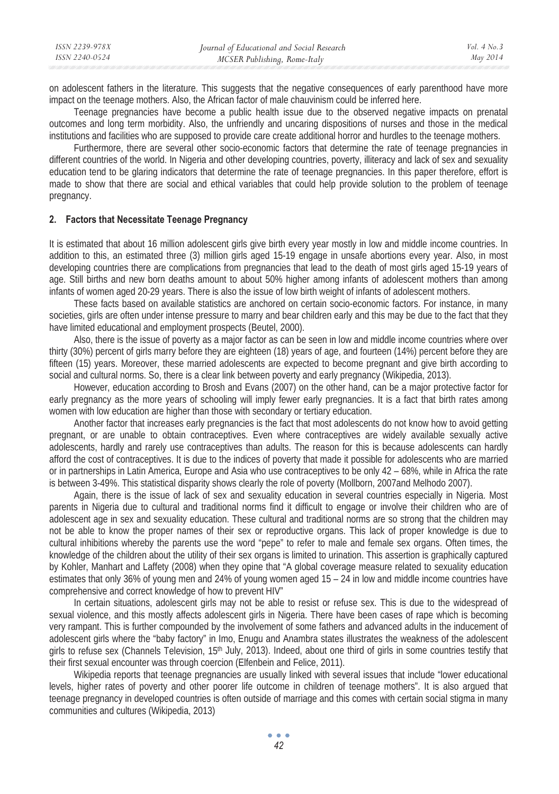| ISSN 2239-978X | Journal of Educational and Social Research | Vol. $4$ No. $3$ |
|----------------|--------------------------------------------|------------------|
| ISSN 2240-0524 | MCSER Publishing, Rome-Italy               | May 2014         |

on adolescent fathers in the literature. This suggests that the negative consequences of early parenthood have more impact on the teenage mothers. Also, the African factor of male chauvinism could be inferred here.

Teenage pregnancies have become a public health issue due to the observed negative impacts on prenatal outcomes and long term morbidity. Also, the unfriendly and uncaring dispositions of nurses and those in the medical institutions and facilities who are supposed to provide care create additional horror and hurdles to the teenage mothers.

Furthermore, there are several other socio-economic factors that determine the rate of teenage pregnancies in different countries of the world. In Nigeria and other developing countries, poverty, illiteracy and lack of sex and sexuality education tend to be glaring indicators that determine the rate of teenage pregnancies. In this paper therefore, effort is made to show that there are social and ethical variables that could help provide solution to the problem of teenage pregnancy.

### **2. Factors that Necessitate Teenage Pregnancy**

It is estimated that about 16 million adolescent girls give birth every year mostly in low and middle income countries. In addition to this, an estimated three (3) million girls aged 15-19 engage in unsafe abortions every year. Also, in most developing countries there are complications from pregnancies that lead to the death of most girls aged 15-19 years of age. Still births and new born deaths amount to about 50% higher among infants of adolescent mothers than among infants of women aged 20-29 years. There is also the issue of low birth weight of infants of adolescent mothers.

These facts based on available statistics are anchored on certain socio-economic factors. For instance, in many societies, girls are often under intense pressure to marry and bear children early and this may be due to the fact that they have limited educational and employment prospects (Beutel, 2000).

Also, there is the issue of poverty as a major factor as can be seen in low and middle income countries where over thirty (30%) percent of girls marry before they are eighteen (18) years of age, and fourteen (14%) percent before they are fifteen (15) years. Moreover, these married adolescents are expected to become pregnant and give birth according to social and cultural norms. So, there is a clear link between poverty and early pregnancy (Wikipedia, 2013).

However, education according to Brosh and Evans (2007) on the other hand, can be a major protective factor for early pregnancy as the more years of schooling will imply fewer early pregnancies. It is a fact that birth rates among women with low education are higher than those with secondary or tertiary education.

Another factor that increases early pregnancies is the fact that most adolescents do not know how to avoid getting pregnant, or are unable to obtain contraceptives. Even where contraceptives are widely available sexually active adolescents, hardly and rarely use contraceptives than adults. The reason for this is because adolescents can hardly afford the cost of contraceptives. It is due to the indices of poverty that made it possible for adolescents who are married or in partnerships in Latin America, Europe and Asia who use contraceptives to be only 42 – 68%, while in Africa the rate is between 3-49%. This statistical disparity shows clearly the role of poverty (Mollborn, 2007and Melhodo 2007).

Again, there is the issue of lack of sex and sexuality education in several countries especially in Nigeria. Most parents in Nigeria due to cultural and traditional norms find it difficult to engage or involve their children who are of adolescent age in sex and sexuality education. These cultural and traditional norms are so strong that the children may not be able to know the proper names of their sex or reproductive organs. This lack of proper knowledge is due to cultural inhibitions whereby the parents use the word "pepe" to refer to male and female sex organs. Often times, the knowledge of the children about the utility of their sex organs is limited to urination. This assertion is graphically captured by Kohler, Manhart and Laffety (2008) when they opine that "A global coverage measure related to sexuality education estimates that only 36% of young men and 24% of young women aged 15 – 24 in low and middle income countries have comprehensive and correct knowledge of how to prevent HIV"

In certain situations, adolescent girls may not be able to resist or refuse sex. This is due to the widespread of sexual violence, and this mostly affects adolescent girls in Nigeria. There have been cases of rape which is becoming very rampant. This is further compounded by the involvement of some fathers and advanced adults in the inducement of adolescent girls where the "baby factory" in Imo, Enugu and Anambra states illustrates the weakness of the adolescent girls to refuse sex (Channels Television, 15<sup>th</sup> July, 2013). Indeed, about one third of girls in some countries testify that their first sexual encounter was through coercion (Elfenbein and Felice, 2011).

Wikipedia reports that teenage pregnancies are usually linked with several issues that include "lower educational levels, higher rates of poverty and other poorer life outcome in children of teenage mothers". It is also argued that teenage pregnancy in developed countries is often outside of marriage and this comes with certain social stigma in many communities and cultures (Wikipedia, 2013)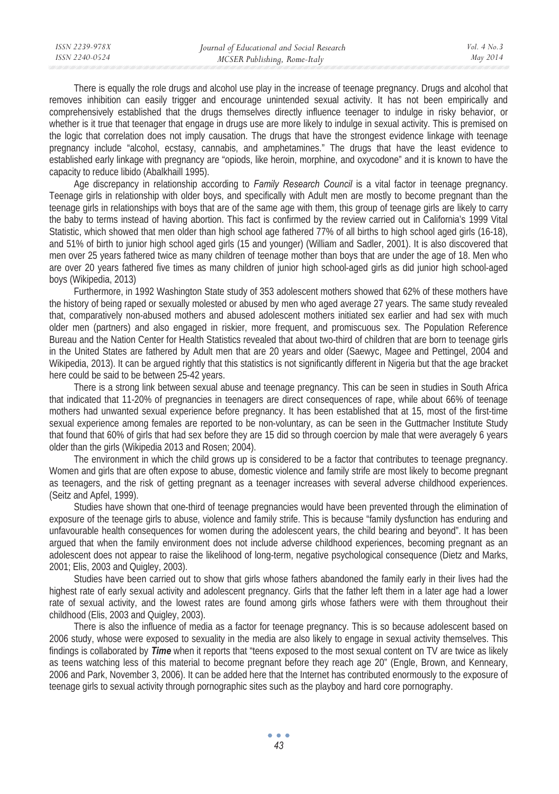| ISSN 2239-978X | Journal of Educational and Social Research | <i>Vol.</i> 4 $No.3$ |
|----------------|--------------------------------------------|----------------------|
| ISSN 2240-0524 | MCSER Publishing, Rome-Italy               | May 2014             |
|                |                                            |                      |

There is equally the role drugs and alcohol use play in the increase of teenage pregnancy. Drugs and alcohol that removes inhibition can easily trigger and encourage unintended sexual activity. It has not been empirically and comprehensively established that the drugs themselves directly influence teenager to indulge in risky behavior, or whether is it true that teenager that engage in drugs use are more likely to indulge in sexual activity. This is premised on the logic that correlation does not imply causation. The drugs that have the strongest evidence linkage with teenage pregnancy include "alcohol, ecstasy, cannabis, and amphetamines." The drugs that have the least evidence to established early linkage with pregnancy are "opiods, like heroin, morphine, and oxycodone" and it is known to have the capacity to reduce libido (Abalkhaill 1995).

Age discrepancy in relationship according to *Family Research Council* is a vital factor in teenage pregnancy. Teenage girls in relationship with older boys, and specifically with Adult men are mostly to become pregnant than the teenage girls in relationships with boys that are of the same age with them, this group of teenage girls are likely to carry the baby to terms instead of having abortion. This fact is confirmed by the review carried out in California's 1999 Vital Statistic, which showed that men older than high school age fathered 77% of all births to high school aged girls (16-18), and 51% of birth to junior high school aged girls (15 and younger) (William and Sadler, 2001). It is also discovered that men over 25 years fathered twice as many children of teenage mother than boys that are under the age of 18. Men who are over 20 years fathered five times as many children of junior high school-aged girls as did junior high school-aged boys (Wikipedia, 2013)

Furthermore, in 1992 Washington State study of 353 adolescent mothers showed that 62% of these mothers have the history of being raped or sexually molested or abused by men who aged average 27 years. The same study revealed that, comparatively non-abused mothers and abused adolescent mothers initiated sex earlier and had sex with much older men (partners) and also engaged in riskier, more frequent, and promiscuous sex. The Population Reference Bureau and the Nation Center for Health Statistics revealed that about two-third of children that are born to teenage girls in the United States are fathered by Adult men that are 20 years and older (Saewyc, Magee and Pettingel, 2004 and Wikipedia, 2013). It can be argued rightly that this statistics is not significantly different in Nigeria but that the age bracket here could be said to be between 25-42 years.

There is a strong link between sexual abuse and teenage pregnancy. This can be seen in studies in South Africa that indicated that 11-20% of pregnancies in teenagers are direct consequences of rape, while about 66% of teenage mothers had unwanted sexual experience before pregnancy. It has been established that at 15, most of the first-time sexual experience among females are reported to be non-voluntary, as can be seen in the Guttmacher Institute Study that found that 60% of girls that had sex before they are 15 did so through coercion by male that were averagely 6 years older than the girls (Wikipedia 2013 and Rosen; 2004).

The environment in which the child grows up is considered to be a factor that contributes to teenage pregnancy. Women and girls that are often expose to abuse, domestic violence and family strife are most likely to become pregnant as teenagers, and the risk of getting pregnant as a teenager increases with several adverse childhood experiences. (Seitz and Apfel, 1999).

Studies have shown that one-third of teenage pregnancies would have been prevented through the elimination of exposure of the teenage girls to abuse, violence and family strife. This is because "family dysfunction has enduring and unfavourable health consequences for women during the adolescent years, the child bearing and beyond". It has been argued that when the family environment does not include adverse childhood experiences, becoming pregnant as an adolescent does not appear to raise the likelihood of long-term, negative psychological consequence (Dietz and Marks, 2001; Elis, 2003 and Quigley, 2003).

Studies have been carried out to show that girls whose fathers abandoned the family early in their lives had the highest rate of early sexual activity and adolescent pregnancy. Girls that the father left them in a later age had a lower rate of sexual activity, and the lowest rates are found among girls whose fathers were with them throughout their childhood (Elis, 2003 and Quigley, 2003).

There is also the influence of media as a factor for teenage pregnancy. This is so because adolescent based on 2006 study, whose were exposed to sexuality in the media are also likely to engage in sexual activity themselves. This findings is collaborated by *Time* when it reports that "teens exposed to the most sexual content on TV are twice as likely as teens watching less of this material to become pregnant before they reach age 20" (Engle, Brown, and Kenneary, 2006 and Park, November 3, 2006). It can be added here that the Internet has contributed enormously to the exposure of teenage girls to sexual activity through pornographic sites such as the playboy and hard core pornography.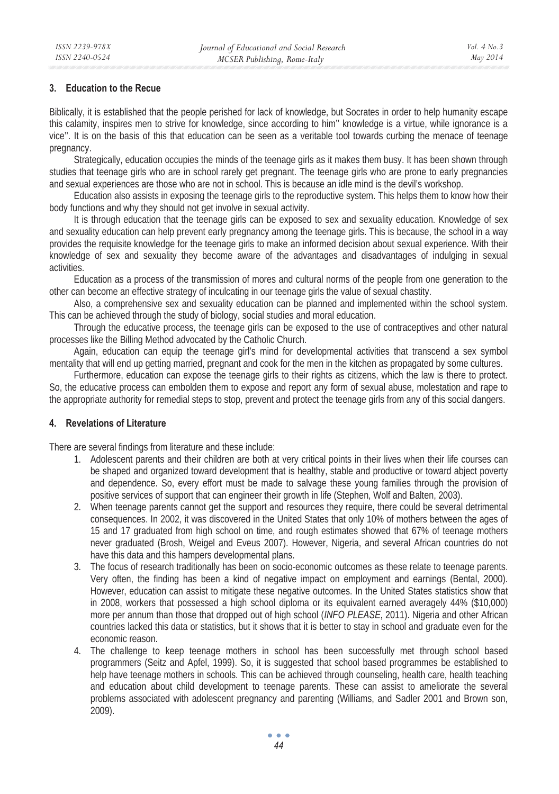### **3. Education to the Recue**

Biblically, it is established that the people perished for lack of knowledge, but Socrates in order to help humanity escape this calamity, inspires men to strive for knowledge, since according to him'' knowledge is a virtue, while ignorance is a vice''. It is on the basis of this that education can be seen as a veritable tool towards curbing the menace of teenage pregnancy.

Strategically, education occupies the minds of the teenage girls as it makes them busy. It has been shown through studies that teenage girls who are in school rarely get pregnant. The teenage girls who are prone to early pregnancies and sexual experiences are those who are not in school. This is because an idle mind is the devil's workshop.

Education also assists in exposing the teenage girls to the reproductive system. This helps them to know how their body functions and why they should not get involve in sexual activity.

It is through education that the teenage girls can be exposed to sex and sexuality education. Knowledge of sex and sexuality education can help prevent early pregnancy among the teenage girls. This is because, the school in a way provides the requisite knowledge for the teenage girls to make an informed decision about sexual experience. With their knowledge of sex and sexuality they become aware of the advantages and disadvantages of indulging in sexual activities.

Education as a process of the transmission of mores and cultural norms of the people from one generation to the other can become an effective strategy of inculcating in our teenage girls the value of sexual chastity.

Also, a comprehensive sex and sexuality education can be planned and implemented within the school system. This can be achieved through the study of biology, social studies and moral education.

Through the educative process, the teenage girls can be exposed to the use of contraceptives and other natural processes like the Billing Method advocated by the Catholic Church.

Again, education can equip the teenage girl's mind for developmental activities that transcend a sex symbol mentality that will end up getting married, pregnant and cook for the men in the kitchen as propagated by some cultures.

Furthermore, education can expose the teenage girls to their rights as citizens, which the law is there to protect. So, the educative process can embolden them to expose and report any form of sexual abuse, molestation and rape to the appropriate authority for remedial steps to stop, prevent and protect the teenage girls from any of this social dangers.

#### **4. Revelations of Literature**

There are several findings from literature and these include:

- 1. Adolescent parents and their children are both at very critical points in their lives when their life courses can be shaped and organized toward development that is healthy, stable and productive or toward abject poverty and dependence. So, every effort must be made to salvage these young families through the provision of positive services of support that can engineer their growth in life (Stephen, Wolf and Balten, 2003).
- 2. When teenage parents cannot get the support and resources they require, there could be several detrimental consequences. In 2002, it was discovered in the United States that only 10% of mothers between the ages of 15 and 17 graduated from high school on time, and rough estimates showed that 67% of teenage mothers never graduated (Brosh, Weigel and Eveus 2007). However, Nigeria, and several African countries do not have this data and this hampers developmental plans.
- 3. The focus of research traditionally has been on socio-economic outcomes as these relate to teenage parents. Very often, the finding has been a kind of negative impact on employment and earnings (Bental, 2000). However, education can assist to mitigate these negative outcomes. In the United States statistics show that in 2008, workers that possessed a high school diploma or its equivalent earned averagely 44% (\$10,000) more per annum than those that dropped out of high school (*INFO PLEASE*, 2011). Nigeria and other African countries lacked this data or statistics, but it shows that it is better to stay in school and graduate even for the economic reason.
- 4. The challenge to keep teenage mothers in school has been successfully met through school based programmers (Seitz and Apfel, 1999). So, it is suggested that school based programmes be established to help have teenage mothers in schools. This can be achieved through counseling, health care, health teaching and education about child development to teenage parents. These can assist to ameliorate the several problems associated with adolescent pregnancy and parenting (Williams, and Sadler 2001 and Brown son, 2009).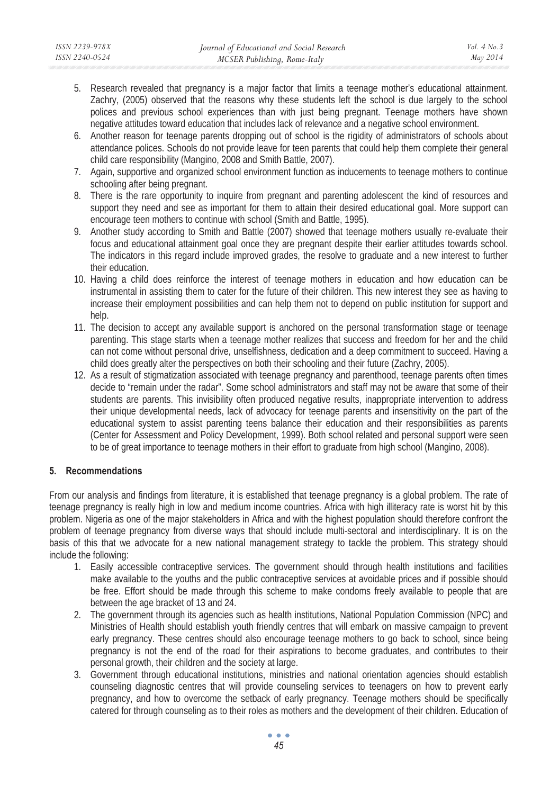- 5. Research revealed that pregnancy is a major factor that limits a teenage mother's educational attainment. Zachry, (2005) observed that the reasons why these students left the school is due largely to the school polices and previous school experiences than with just being pregnant. Teenage mothers have shown negative attitudes toward education that includes lack of relevance and a negative school environment.
- 6. Another reason for teenage parents dropping out of school is the rigidity of administrators of schools about attendance polices. Schools do not provide leave for teen parents that could help them complete their general child care responsibility (Mangino, 2008 and Smith Battle, 2007).
- 7. Again, supportive and organized school environment function as inducements to teenage mothers to continue schooling after being pregnant.
- 8. There is the rare opportunity to inquire from pregnant and parenting adolescent the kind of resources and support they need and see as important for them to attain their desired educational goal. More support can encourage teen mothers to continue with school (Smith and Battle, 1995).
- 9. Another study according to Smith and Battle (2007) showed that teenage mothers usually re-evaluate their focus and educational attainment goal once they are pregnant despite their earlier attitudes towards school. The indicators in this regard include improved grades, the resolve to graduate and a new interest to further their education.
- 10. Having a child does reinforce the interest of teenage mothers in education and how education can be instrumental in assisting them to cater for the future of their children. This new interest they see as having to increase their employment possibilities and can help them not to depend on public institution for support and help.
- 11. The decision to accept any available support is anchored on the personal transformation stage or teenage parenting. This stage starts when a teenage mother realizes that success and freedom for her and the child can not come without personal drive, unselfishness, dedication and a deep commitment to succeed. Having a child does greatly alter the perspectives on both their schooling and their future (Zachry, 2005).
- 12. As a result of stigmatization associated with teenage pregnancy and parenthood, teenage parents often times decide to "remain under the radar". Some school administrators and staff may not be aware that some of their students are parents. This invisibility often produced negative results, inappropriate intervention to address their unique developmental needs, lack of advocacy for teenage parents and insensitivity on the part of the educational system to assist parenting teens balance their education and their responsibilities as parents (Center for Assessment and Policy Development, 1999). Both school related and personal support were seen to be of great importance to teenage mothers in their effort to graduate from high school (Mangino, 2008).

## **5. Recommendations**

From our analysis and findings from literature, it is established that teenage pregnancy is a global problem. The rate of teenage pregnancy is really high in low and medium income countries. Africa with high illiteracy rate is worst hit by this problem. Nigeria as one of the major stakeholders in Africa and with the highest population should therefore confront the problem of teenage pregnancy from diverse ways that should include multi-sectoral and interdisciplinary. It is on the basis of this that we advocate for a new national management strategy to tackle the problem. This strategy should include the following:

- 1. Easily accessible contraceptive services. The government should through health institutions and facilities make available to the youths and the public contraceptive services at avoidable prices and if possible should be free. Effort should be made through this scheme to make condoms freely available to people that are between the age bracket of 13 and 24.
- 2. The government through its agencies such as health institutions, National Population Commission (NPC) and Ministries of Health should establish youth friendly centres that will embark on massive campaign to prevent early pregnancy. These centres should also encourage teenage mothers to go back to school, since being pregnancy is not the end of the road for their aspirations to become graduates, and contributes to their personal growth, their children and the society at large.
- 3. Government through educational institutions, ministries and national orientation agencies should establish counseling diagnostic centres that will provide counseling services to teenagers on how to prevent early pregnancy, and how to overcome the setback of early pregnancy. Teenage mothers should be specifically catered for through counseling as to their roles as mothers and the development of their children. Education of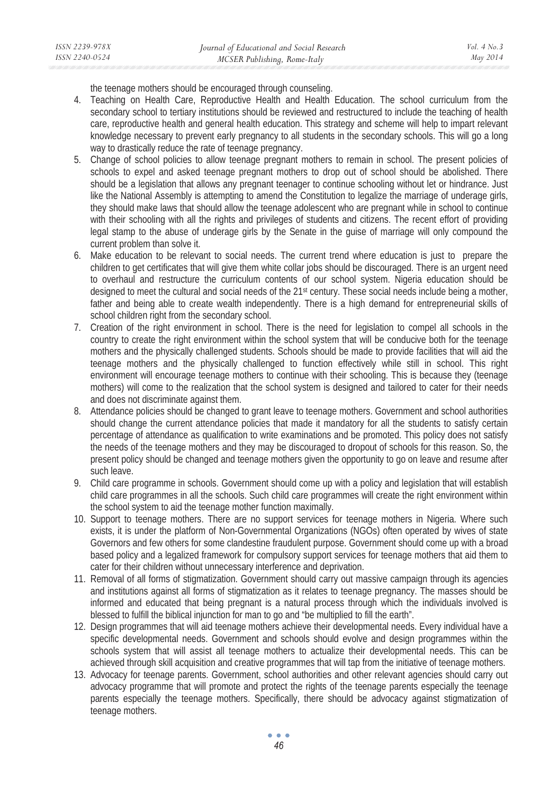the teenage mothers should be encouraged through counseling.

- 4. Teaching on Health Care, Reproductive Health and Health Education. The school curriculum from the secondary school to tertiary institutions should be reviewed and restructured to include the teaching of health care, reproductive health and general health education. This strategy and scheme will help to impart relevant knowledge necessary to prevent early pregnancy to all students in the secondary schools. This will go a long way to drastically reduce the rate of teenage pregnancy.
- 5. Change of school policies to allow teenage pregnant mothers to remain in school. The present policies of schools to expel and asked teenage pregnant mothers to drop out of school should be abolished. There should be a legislation that allows any pregnant teenager to continue schooling without let or hindrance. Just like the National Assembly is attempting to amend the Constitution to legalize the marriage of underage girls, they should make laws that should allow the teenage adolescent who are pregnant while in school to continue with their schooling with all the rights and privileges of students and citizens. The recent effort of providing legal stamp to the abuse of underage girls by the Senate in the guise of marriage will only compound the current problem than solve it.
- 6. Make education to be relevant to social needs. The current trend where education is just to prepare the children to get certificates that will give them white collar jobs should be discouraged. There is an urgent need to overhaul and restructure the curriculum contents of our school system. Nigeria education should be designed to meet the cultural and social needs of the 21<sup>st</sup> century. These social needs include being a mother, father and being able to create wealth independently. There is a high demand for entrepreneurial skills of school children right from the secondary school.
- 7. Creation of the right environment in school. There is the need for legislation to compel all schools in the country to create the right environment within the school system that will be conducive both for the teenage mothers and the physically challenged students. Schools should be made to provide facilities that will aid the teenage mothers and the physically challenged to function effectively while still in school. This right environment will encourage teenage mothers to continue with their schooling. This is because they (teenage mothers) will come to the realization that the school system is designed and tailored to cater for their needs and does not discriminate against them.
- 8. Attendance policies should be changed to grant leave to teenage mothers. Government and school authorities should change the current attendance policies that made it mandatory for all the students to satisfy certain percentage of attendance as qualification to write examinations and be promoted. This policy does not satisfy the needs of the teenage mothers and they may be discouraged to dropout of schools for this reason. So, the present policy should be changed and teenage mothers given the opportunity to go on leave and resume after such leave.
- 9. Child care programme in schools. Government should come up with a policy and legislation that will establish child care programmes in all the schools. Such child care programmes will create the right environment within the school system to aid the teenage mother function maximally.
- 10. Support to teenage mothers. There are no support services for teenage mothers in Nigeria. Where such exists, it is under the platform of Non-Governmental Organizations (NGOs) often operated by wives of state Governors and few others for some clandestine fraudulent purpose. Government should come up with a broad based policy and a legalized framework for compulsory support services for teenage mothers that aid them to cater for their children without unnecessary interference and deprivation.
- 11. Removal of all forms of stigmatization. Government should carry out massive campaign through its agencies and institutions against all forms of stigmatization as it relates to teenage pregnancy. The masses should be informed and educated that being pregnant is a natural process through which the individuals involved is blessed to fulfill the biblical injunction for man to go and "be multiplied to fill the earth".
- 12. Design programmes that will aid teenage mothers achieve their developmental needs. Every individual have a specific developmental needs. Government and schools should evolve and design programmes within the schools system that will assist all teenage mothers to actualize their developmental needs. This can be achieved through skill acquisition and creative programmes that will tap from the initiative of teenage mothers.
- 13. Advocacy for teenage parents. Government, school authorities and other relevant agencies should carry out advocacy programme that will promote and protect the rights of the teenage parents especially the teenage parents especially the teenage mothers. Specifically, there should be advocacy against stigmatization of teenage mothers.